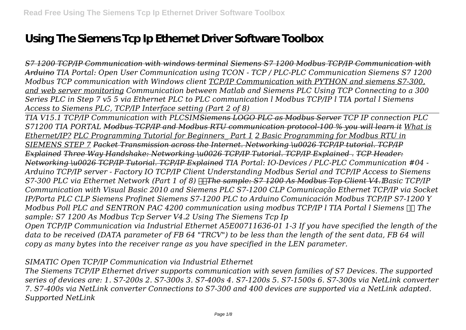# **Using The Siemens Tcp Ip Ethernet Driver Software Toolbox**

*S7 1200 TCP/IP Communication with windows terminal Siemens S7 1200 Modbus TCP/IP Communication with Arduino TIA Portal: Open User Communication using TCON - TCP / PLC-PLC Communication Siemens S7 1200 Modbus TCP communication with Windows client TCP/IP Communication with PYTHON and siemens S7-300, and web server monitoring Communication between Matlab and Siemens PLC Using TCP Connecting to a 300 Series PLC in Step 7 v5 5 via Ethernet PLC to PLC communication l Modbus TCP/IP l TIA portal l Siemens Access to Siemens PLC, TCP/IP Interface setting (Part 2 of 8)*

*TIA V15.1 TCP/IP Communication with PLCSIMSiemens LOGO PLC as Modbus Server TCP IP connection PLC S71200 TIA PORTAL Modbus TCP/IP and Modbus RTU communication protocol-100 % you will learn it What is Ethernet/IP? PLC Programming Tutorial for Beginners\_ Part 1 2 Basic Programming for Modbus RTU in SIEMENS STEP 7 Packet Transmission across the Internet. Networking \u0026 TCP/IP tutorial. TCP/IP Explained Three Way Handshake: Networking \u0026 TCP/IP Tutorial. TCP/IP Explained . TCP Header: Networking \u0026 TCP/IP Tutorial. TCP/IP Explained TIA Portal: IO-Devices / PLC-PLC Communication #04 - Arduino TCP/IP server - Factory IO TCP/IP Client Understanding Modbus Serial and TCP/IP Access to Siemens S7-300 PLC via Ethernet Network (Part 1 of 8) The sample: S7 1200 As Modbus Tcp Client V4.1 Basic TCP/IP Communication with Visual Basic 2010 and Siemens PLC S7-1200 CLP Comunicação Ethernet TCP/IP via Socket IP/Porta PLC CLP Siemens Profinet Siemens S7-1200 PLC to Arduino Comunicación Modbus TCP/IP S7-1200 Y Modbus Poll PLC and SENTRON PAC 4200 communication using modbus TCP/IP l TIA Portal l Siemens The sample: S7 1200 As Modbus Tcp Server V4.2 Using The Siemens Tcp Ip*

*Open TCP/IP Communication via Industrial Ethernet A5E00711636-01 1-3 If you have specified the length of the data to be received (DATA parameter of FB 64 "TRCV") to be less than the length of the sent data, FB 64 will copy as many bytes into the receiver range as you have specified in the LEN parameter.*

*SIMATIC Open TCP/IP Communication via Industrial Ethernet*

*The Siemens TCP/IP Ethernet driver supports communication with seven families of S7 Devices. The supported series of devices are: 1. S7-200s 2. S7-300s 3. S7-400s 4. S7-1200s 5. S7-1500s 6. S7-300s via NetLink converter 7. S7-400s via NetLink converter Connections to S7-300 and 400 devices are supported via a NetLink adapted. Supported NetLink*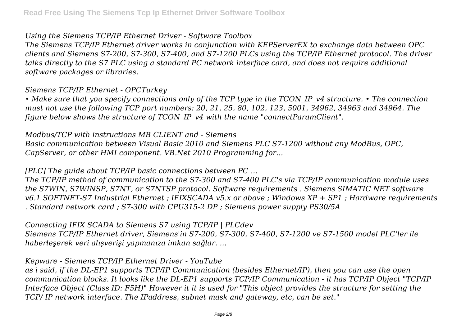#### *Using the Siemens TCP/IP Ethernet Driver - Software Toolbox*

*The Siemens TCP/IP Ethernet driver works in conjunction with KEPServerEX to exchange data between OPC clients and Siemens S7-200, S7-300, S7-400, and S7-1200 PLCs using the TCP/IP Ethernet protocol. The driver talks directly to the S7 PLC using a standard PC network interface card, and does not require additional software packages or libraries.*

#### *Siemens TCP/IP Ethernet - OPCTurkey*

*• Make sure that you specify connections only of the TCP type in the TCON\_IP\_v4 structure. • The connection must not use the following TCP port numbers: 20, 21, 25, 80, 102, 123, 5001, 34962, 34963 and 34964. The figure below shows the structure of TCON\_IP\_v4 with the name "connectParamClient".*

#### *Modbus/TCP with instructions MB CLIENT and - Siemens*

*Basic communication between Visual Basic 2010 and Siemens PLC S7-1200 without any ModBus, OPC, CapServer, or other HMI component. VB.Net 2010 Programming for...*

#### *[PLC] The guide about TCP/IP basic connections between PC ...*

*The TCP/IP method of communication to the S7-300 and S7-400 PLC's via TCP/IP communication module uses the S7WIN, S7WINSP, S7NT, or S7NTSP protocol. Software requirements . Siemens SIMATIC NET software v6.1 SOFTNET-S7 Industrial Ethernet ; IFIXSCADA v5.x or above ; Windows XP + SP1 ; Hardware requirements . Standard network card ; S7-300 with CPU315-2 DP ; Siemens power supply PS30/5A*

*Connecting IFIX SCADA to Siemens S7 using TCP/IP | PLCdev Siemens TCP/IP Ethernet driver, Siemens'in S7-200, S7-300, S7-400, S7-1200 ve S7-1500 model PLC'ler ile haberleşerek veri alışverişi yapmanıza imkan sağlar. ...*

## *Kepware - Siemens TCP/IP Ethernet Driver - YouTube*

*as i said, if the DL-EP1 supports TCP/IP Communication (besides Ethernet/IP), then you can use the open communication blocks. It looks like the DL-EP1 supports TCP/IP Communication - it has TCP/IP Object "TCP/IP Interface Object (Class ID: F5H)" However it it is used for "This object provides the structure for setting the TCP/ IP network interface. The IPaddress, subnet mask and gateway, etc, can be set."*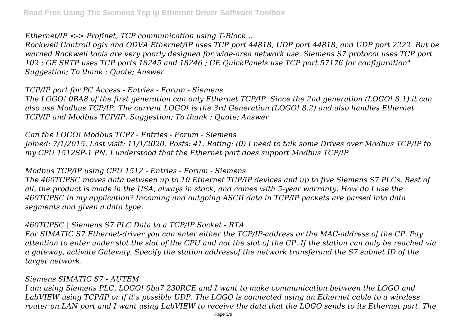*Ethernet/IP <-> Profinet, TCP communication using T-Block ...*

*Rockwell ControlLogix and ODVA Ethernet/IP uses TCP port 44818, UDP port 44818, and UDP port 2222. But be warned Rockwell tools are very poorly designed for wide-area network use. Siemens S7 protocol uses TCP port 102 ; GE SRTP uses TCP ports 18245 and 18246 ; GE QuickPanels use TCP port 57176 for configuration" Suggestion; To thank ; Quote; Answer*

*TCP/IP port for PC Access - Entries - Forum - Siemens*

*The LOGO! 0BA8 of the first generation can only Ethernet TCP/IP. Since the 2nd generation (LOGO! 8.1) it can also use Modbus TCP/IP. The current LOGO! is the 3rd Generation (LOGO! 8.2) and also handles Ethernet TCP/IP and Modbus TCP/IP. Suggestion; To thank ; Quote; Answer*

*Can the LOGO! Modbus TCP? - Entries - Forum - Siemens Joined: 7/1/2015. Last visit: 11/1/2020. Posts: 41. Rating: (0) I need to talk some Drives over Modbus TCP/IP to my CPU 1512SP-1 PN. I understood that the Ethernet port does support Modbus TCP/IP*

## *Modbus TCP/IP using CPU 1512 - Entries - Forum - Siemens*

*The 460TCPSC moves data between up to 10 Ethernet TCP/IP devices and up to five Siemens S7 PLCs. Best of all, the product is made in the USA, always in stock, and comes with 5-year warranty. How do I use the 460TCPSC in my application? Incoming and outgoing ASCII data in TCP/IP packets are parsed into data segments and given a data type.*

# *460TCPSC | Siemens S7 PLC Data to a TCP/IP Socket - RTA*

*For SIMATIC S7 Ethernet-driver you can enter either the TCP/IP-address or the MAC-address of the CP. Pay attention to enter under slot the slot of the CPU and not the slot of the CP. If the station can only be reached via a gateway, activate Gateway. Specify the station addressof the network transferand the S7 subnet ID of the target network.*

## *Siemens SIMATIC S7 - AUTEM*

*I am using Siemens PLC, LOGO! 0ba7 230RCE and I want to make communication between the LOGO and LabVIEW using TCP/IP or if it's possible UDP. The LOGO is connected using an Ethernet cable to a wireless router on LAN port and I want using LabVIEW to receive the data that the LOGO sends to its Ethernet port. The*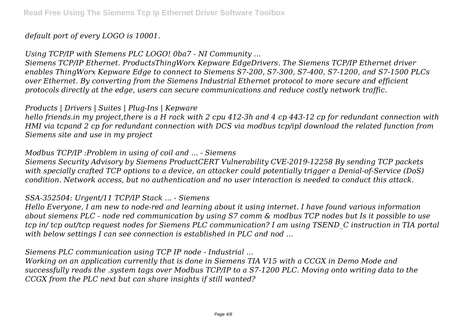## *default port of every LOGO is 10001.*

*Using TCP/IP with SIemens PLC LOGO! 0ba7 - NI Community ...*

*Siemens TCP/IP Ethernet. ProductsThingWorx Kepware EdgeDrivers. The Siemens TCP/IP Ethernet driver enables ThingWorx Kepware Edge to connect to Siemens S7-200, S7-300, S7-400, S7-1200, and S7-1500 PLCs over Ethernet. By converting from the Siemens Industrial Ethernet protocol to more secure and efficient protocols directly at the edge, users can secure communications and reduce costly network traffic.*

#### *Products | Drivers | Suites | Plug-Ins | Kepware*

*hello friends.in my project,there is a H rack with 2 cpu 412-3h and 4 cp 443-12 cp for redundant connection with HMI via tcpand 2 cp for redundant connection with DCS via modbus tcp/ipI download the related function from Siemens site and use in my project*

#### *Modbus TCP/IP :Problem in using of coil and ... - Siemens*

*Siemens Security Advisory by Siemens ProductCERT Vulnerability CVE-2019-12258 By sending TCP packets with specially crafted TCP options to a device, an attacker could potentially trigger a Denial-of-Service (DoS) condition. Network access, but no authentication and no user interaction is needed to conduct this attack.*

## *SSA-352504: Urgent/11 TCP/IP Stack ... - Siemens*

*Hello Everyone, I am new to node-red and learning about it using internet. I have found various information about siemens PLC - node red communication by using S7 comm & modbus TCP nodes but Is it possible to use tcp in/ tcp out/tcp request nodes for Siemens PLC communication? I am using TSEND\_C instruction in TIA portal with below settings I can see connection is established in PLC and nod ...*

*Siemens PLC communication using TCP IP node - Industrial ...*

*Working on an application currently that is done in Siemens TIA V15 with a CCGX in Demo Mode and successfully reads the .system tags over Modbus TCP/IP to a S7-1200 PLC. Moving onto writing data to the CCGX from the PLC next but can share insights if still wanted?*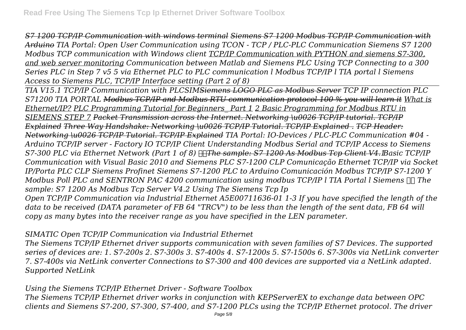*S7 1200 TCP/IP Communication with windows terminal Siemens S7 1200 Modbus TCP/IP Communication with Arduino TIA Portal: Open User Communication using TCON - TCP / PLC-PLC Communication Siemens S7 1200 Modbus TCP communication with Windows client TCP/IP Communication with PYTHON and siemens S7-300, and web server monitoring Communication between Matlab and Siemens PLC Using TCP Connecting to a 300 Series PLC in Step 7 v5 5 via Ethernet PLC to PLC communication l Modbus TCP/IP l TIA portal l Siemens Access to Siemens PLC, TCP/IP Interface setting (Part 2 of 8)*

*TIA V15.1 TCP/IP Communication with PLCSIMSiemens LOGO PLC as Modbus Server TCP IP connection PLC S71200 TIA PORTAL Modbus TCP/IP and Modbus RTU communication protocol-100 % you will learn it What is Ethernet/IP? PLC Programming Tutorial for Beginners\_ Part 1 2 Basic Programming for Modbus RTU in SIEMENS STEP 7 Packet Transmission across the Internet. Networking \u0026 TCP/IP tutorial. TCP/IP Explained Three Way Handshake: Networking \u0026 TCP/IP Tutorial. TCP/IP Explained . TCP Header: Networking \u0026 TCP/IP Tutorial. TCP/IP Explained TIA Portal: IO-Devices / PLC-PLC Communication #04 - Arduino TCP/IP server - Factory IO TCP/IP Client Understanding Modbus Serial and TCP/IP Access to Siemens S7-300 PLC via Ethernet Network (Part 1 of 8) The sample: S7 1200 As Modbus Tcp Client V4.1 Basic TCP/IP Communication with Visual Basic 2010 and Siemens PLC S7-1200 CLP Comunicação Ethernet TCP/IP via Socket IP/Porta PLC CLP Siemens Profinet Siemens S7-1200 PLC to Arduino Comunicación Modbus TCP/IP S7-1200 Y Modbus Poll PLC and SENTRON PAC 4200 communication using modbus TCP/IP l TIA Portal l Siemens The sample: S7 1200 As Modbus Tcp Server V4.2 Using The Siemens Tcp Ip Open TCP/IP Communication via Industrial Ethernet A5E00711636-01 1-3 If you have specified the length of the data to be received (DATA parameter of FB 64 "TRCV") to be less than the length of the sent data, FB 64 will copy as many bytes into the receiver range as you have specified in the LEN parameter.*

# *SIMATIC Open TCP/IP Communication via Industrial Ethernet*

*The Siemens TCP/IP Ethernet driver supports communication with seven families of S7 Devices. The supported series of devices are: 1. S7-200s 2. S7-300s 3. S7-400s 4. S7-1200s 5. S7-1500s 6. S7-300s via NetLink converter 7. S7-400s via NetLink converter Connections to S7-300 and 400 devices are supported via a NetLink adapted. Supported NetLink*

# *Using the Siemens TCP/IP Ethernet Driver - Software Toolbox*

*The Siemens TCP/IP Ethernet driver works in conjunction with KEPServerEX to exchange data between OPC clients and Siemens S7-200, S7-300, S7-400, and S7-1200 PLCs using the TCP/IP Ethernet protocol. The driver*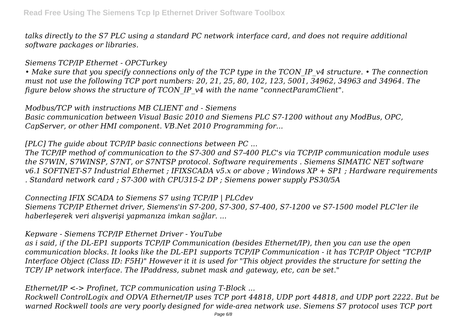*talks directly to the S7 PLC using a standard PC network interface card, and does not require additional software packages or libraries.*

*Siemens TCP/IP Ethernet - OPCTurkey*

*• Make sure that you specify connections only of the TCP type in the TCON\_IP\_v4 structure. • The connection must not use the following TCP port numbers: 20, 21, 25, 80, 102, 123, 5001, 34962, 34963 and 34964. The figure below shows the structure of TCON\_IP\_v4 with the name "connectParamClient".*

*Modbus/TCP with instructions MB CLIENT and - Siemens Basic communication between Visual Basic 2010 and Siemens PLC S7-1200 without any ModBus, OPC, CapServer, or other HMI component. VB.Net 2010 Programming for...*

*[PLC] The guide about TCP/IP basic connections between PC ...*

*The TCP/IP method of communication to the S7-300 and S7-400 PLC's via TCP/IP communication module uses the S7WIN, S7WINSP, S7NT, or S7NTSP protocol. Software requirements . Siemens SIMATIC NET software v6.1 SOFTNET-S7 Industrial Ethernet ; IFIXSCADA v5.x or above ; Windows XP + SP1 ; Hardware requirements . Standard network card ; S7-300 with CPU315-2 DP ; Siemens power supply PS30/5A*

*Connecting IFIX SCADA to Siemens S7 using TCP/IP | PLCdev Siemens TCP/IP Ethernet driver, Siemens'in S7-200, S7-300, S7-400, S7-1200 ve S7-1500 model PLC'ler ile haberleşerek veri alışverişi yapmanıza imkan sağlar. ...*

## *Kepware - Siemens TCP/IP Ethernet Driver - YouTube*

*as i said, if the DL-EP1 supports TCP/IP Communication (besides Ethernet/IP), then you can use the open communication blocks. It looks like the DL-EP1 supports TCP/IP Communication - it has TCP/IP Object "TCP/IP Interface Object (Class ID: F5H)" However it it is used for "This object provides the structure for setting the TCP/ IP network interface. The IPaddress, subnet mask and gateway, etc, can be set."*

*Ethernet/IP <-> Profinet, TCP communication using T-Block ...*

*Rockwell ControlLogix and ODVA Ethernet/IP uses TCP port 44818, UDP port 44818, and UDP port 2222. But be warned Rockwell tools are very poorly designed for wide-area network use. Siemens S7 protocol uses TCP port*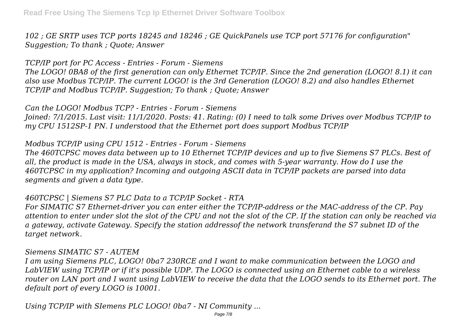*102 ; GE SRTP uses TCP ports 18245 and 18246 ; GE QuickPanels use TCP port 57176 for configuration" Suggestion; To thank ; Quote; Answer*

*TCP/IP port for PC Access - Entries - Forum - Siemens The LOGO! 0BA8 of the first generation can only Ethernet TCP/IP. Since the 2nd generation (LOGO! 8.1) it can also use Modbus TCP/IP. The current LOGO! is the 3rd Generation (LOGO! 8.2) and also handles Ethernet TCP/IP and Modbus TCP/IP. Suggestion; To thank ; Quote; Answer*

*Can the LOGO! Modbus TCP? - Entries - Forum - Siemens Joined: 7/1/2015. Last visit: 11/1/2020. Posts: 41. Rating: (0) I need to talk some Drives over Modbus TCP/IP to my CPU 1512SP-1 PN. I understood that the Ethernet port does support Modbus TCP/IP*

*Modbus TCP/IP using CPU 1512 - Entries - Forum - Siemens*

*The 460TCPSC moves data between up to 10 Ethernet TCP/IP devices and up to five Siemens S7 PLCs. Best of all, the product is made in the USA, always in stock, and comes with 5-year warranty. How do I use the 460TCPSC in my application? Incoming and outgoing ASCII data in TCP/IP packets are parsed into data segments and given a data type.*

*460TCPSC | Siemens S7 PLC Data to a TCP/IP Socket - RTA*

*For SIMATIC S7 Ethernet-driver you can enter either the TCP/IP-address or the MAC-address of the CP. Pay attention to enter under slot the slot of the CPU and not the slot of the CP. If the station can only be reached via a gateway, activate Gateway. Specify the station addressof the network transferand the S7 subnet ID of the target network.*

## *Siemens SIMATIC S7 - AUTEM*

*I am using Siemens PLC, LOGO! 0ba7 230RCE and I want to make communication between the LOGO and LabVIEW using TCP/IP or if it's possible UDP. The LOGO is connected using an Ethernet cable to a wireless router on LAN port and I want using LabVIEW to receive the data that the LOGO sends to its Ethernet port. The default port of every LOGO is 10001.*

*Using TCP/IP with SIemens PLC LOGO! 0ba7 - NI Community ...*